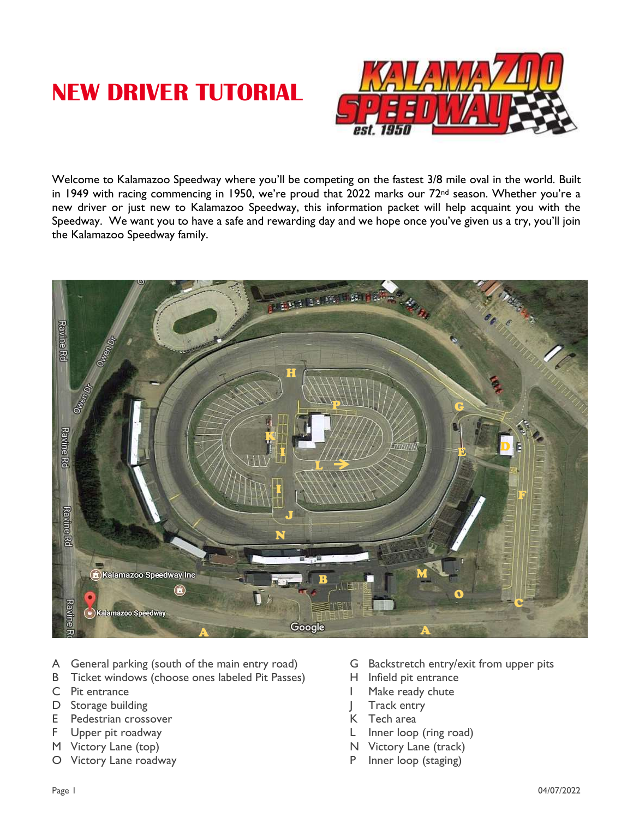# **NEW DRIVER TUTORIAL**



Welcome to Kalamazoo Speedway where you'll be competing on the fastest 3/8 mile oval in the world. Built in 1949 with racing commencing in 1950, we're proud that 2022 marks our 72<sup>nd</sup> season. Whether you're a new driver or just new to Kalamazoo Speedway, this information packet will help acquaint you with the Speedway. We want you to have a safe and rewarding day and we hope once you've given us a try, you'll join the Kalamazoo Speedway family.



- A General parking (south of the main entry road) G Backstretch entry/exit from upper pits
- B Ticket windows (choose ones labeled Pit Passes) H Infield pit entrance
- 
- D Storage building  $\Box$  Track entry
- E Pedestrian crossover North Contract Contract Contract Contract Contract Contract Contract Contract Contract Contract Contract Contract Contract Contract Contract Contract Contract Contract Contract Contract Contract Cont
- 
- M Victory Lane (top) N Victory Lane (track)
- O Victory Lane roadway extending the state of P Inner loop (staging)
- 
- 
- C Pit entrance **I** Make ready chute
	-
	-
- F Upper pit roadway and the state of the Upper pit roadway and the L Inner loop (ring road)
	-
	-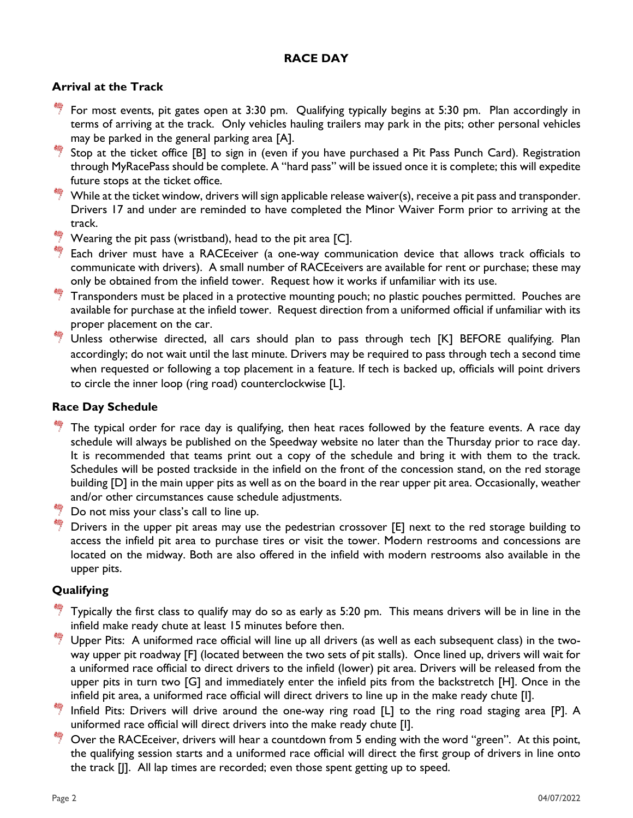# **RACE DAY**

### **Arrival at the Track**

- For most events, pit gates open at 3:30 pm. Qualifying typically begins at 5:30 pm. Plan accordingly in terms of arriving at the track. Only vehicles hauling trailers may park in the pits; other personal vehicles may be parked in the general parking area [A].
- Stop at the ticket office [B] to sign in (even if you have purchased a Pit Pass Punch Card). Registration through MyRacePass should be complete. A "hard pass" will be issued once it is complete; this will expedite future stops at the ticket office.
- $\stackrel{\ast}{\bullet}$  While at the ticket window, drivers will sign applicable release waiver(s), receive a pit pass and transponder. Drivers 17 and under are reminded to have completed the Minor Waiver Form prior to arriving at the track.
- $\overset{\bullet\bullet}{\rightarrow}$  Wearing the pit pass (wristband), head to the pit area [C].
- $\frac{46}{7}$  Each driver must have a RACEceiver (a one-way communication device that allows track officials to communicate with drivers). A small number of RACEceivers are available for rent or purchase; these may only be obtained from the infield tower. Request how it works if unfamiliar with its use.
- $\frac{46}{7}$  Transponders must be placed in a protective mounting pouch; no plastic pouches permitted. Pouches are available for purchase at the infield tower. Request direction from a uniformed official if unfamiliar with its proper placement on the car.
- Unless otherwise directed, all cars should plan to pass through tech [K] BEFORE qualifying. Plan accordingly; do not wait until the last minute. Drivers may be required to pass through tech a second time when requested or following a top placement in a feature. If tech is backed up, officials will point drivers to circle the inner loop (ring road) counterclockwise [L].

### **Race Day Schedule**

- The typical order for race day is qualifying, then heat races followed by the feature events. A race day schedule will always be published on the Speedway website no later than the Thursday prior to race day. It is recommended that teams print out a copy of the schedule and bring it with them to the track. Schedules will be posted trackside in the infield on the front of the concession stand, on the red storage building [D] in the main upper pits as well as on the board in the rear upper pit area. Occasionally, weather and/or other circumstances cause schedule adjustments.
- Do not miss your class's call to line up.
- Drivers in the upper pit areas may use the pedestrian crossover [E] next to the red storage building to access the infield pit area to purchase tires or visit the tower. Modern restrooms and concessions are located on the midway. Both are also offered in the infield with modern restrooms also available in the upper pits.

### **Qualifying**

- $\overline{7}$  Typically the first class to qualify may do so as early as 5:20 pm. This means drivers will be in line in the infield make ready chute at least 15 minutes before then.
- Herry Upper Pits: A uniformed race official will line up all drivers (as well as each subsequent class) in the twoway upper pit roadway [F] (located between the two sets of pit stalls). Once lined up, drivers will wait for a uniformed race official to direct drivers to the infield (lower) pit area. Drivers will be released from the upper pits in turn two [G] and immediately enter the infield pits from the backstretch [H]. Once in the infield pit area, a uniformed race official will direct drivers to line up in the make ready chute [I].
- Infield Pits: Drivers will drive around the one-way ring road [L] to the ring road staging area [P]. A uniformed race official will direct drivers into the make ready chute [I].
- Over the RACEceiver, drivers will hear a countdown from 5 ending with the word "green". At this point, the qualifying session starts and a uniformed race official will direct the first group of drivers in line onto the track [J]. All lap times are recorded; even those spent getting up to speed.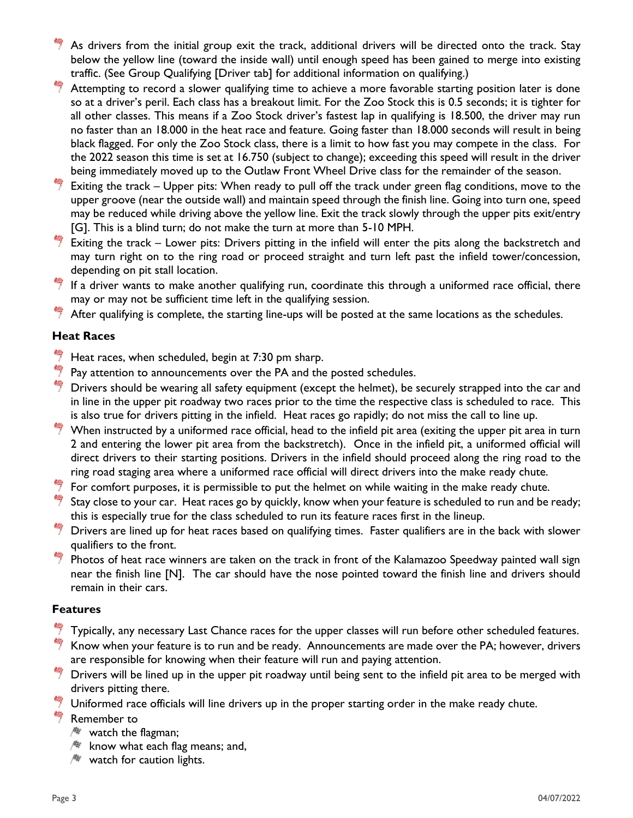- As drivers from the initial group exit the track, additional drivers will be directed onto the track. Stay below the yellow line (toward the inside wall) until enough speed has been gained to merge into existing traffic. (See Group Qualifying [Driver tab] for additional information on qualifying.)
- Attempting to record a slower qualifying time to achieve a more favorable starting position later is done so at a driver's peril. Each class has a breakout limit. For the Zoo Stock this is 0.5 seconds; it is tighter for all other classes. This means if a Zoo Stock driver's fastest lap in qualifying is 18.500, the driver may run no faster than an 18.000 in the heat race and feature. Going faster than 18.000 seconds will result in being black flagged. For only the Zoo Stock class, there is a limit to how fast you may compete in the class. For the 2022 season this time is set at 16.750 (subject to change); exceeding this speed will result in the driver being immediately moved up to the Outlaw Front Wheel Drive class for the remainder of the season.
- Exiting the track Upper pits: When ready to pull off the track under green flag conditions, move to the upper groove (near the outside wall) and maintain speed through the finish line. Going into turn one, speed may be reduced while driving above the yellow line. Exit the track slowly through the upper pits exit/entry [G]. This is a blind turn; do not make the turn at more than 5-10 MPH.
- Exiting the track Lower pits: Drivers pitting in the infield will enter the pits along the backstretch and may turn right on to the ring road or proceed straight and turn left past the infield tower/concession, depending on pit stall location.
- $\frac{46}{7}$  If a driver wants to make another qualifying run, coordinate this through a uniformed race official, there may or may not be sufficient time left in the qualifying session.

After qualifying is complete, the starting line-ups will be posted at the same locations as the schedules.

# **Heat Races**

- Heat races, when scheduled, begin at 7:30 pm sharp.
- Pay attention to announcements over the PA and the posted schedules.
- Drivers should be wearing all safety equipment (except the helmet), be securely strapped into the car and in line in the upper pit roadway two races prior to the time the respective class is scheduled to race. This is also true for drivers pitting in the infield. Heat races go rapidly; do not miss the call to line up.
- When instructed by a uniformed race official, head to the infield pit area (exiting the upper pit area in turn 2 and entering the lower pit area from the backstretch). Once in the infield pit, a uniformed official will direct drivers to their starting positions. Drivers in the infield should proceed along the ring road to the ring road staging area where a uniformed race official will direct drivers into the make ready chute.
- For comfort purposes, it is permissible to put the helmet on while waiting in the make ready chute.
- Stay close to your car. Heat races go by quickly, know when your feature is scheduled to run and be ready; this is especially true for the class scheduled to run its feature races first in the lineup.
- Drivers are lined up for heat races based on qualifying times. Faster qualifiers are in the back with slower qualifiers to the front.
- Photos of heat race winners are taken on the track in front of the Kalamazoo Speedway painted wall sign near the finish line [N]. The car should have the nose pointed toward the finish line and drivers should remain in their cars.

### **Features**

- Typically, any necessary Last Chance races for the upper classes will run before other scheduled features.
- Know when your feature is to run and be ready. Announcements are made over the PA; however, drivers are responsible for knowing when their feature will run and paying attention.
- $\frac{4}{7}$  Drivers will be lined up in the upper pit roadway until being sent to the infield pit area to be merged with drivers pitting there.
- Uniformed race officials will line drivers up in the proper starting order in the make ready chute.

#### 说 Remember to

- $\sqrt{N}$  watch the flagman;
- $\mathbb{R}$  know what each flag means; and,
- $\mathbb{R}$  watch for caution lights.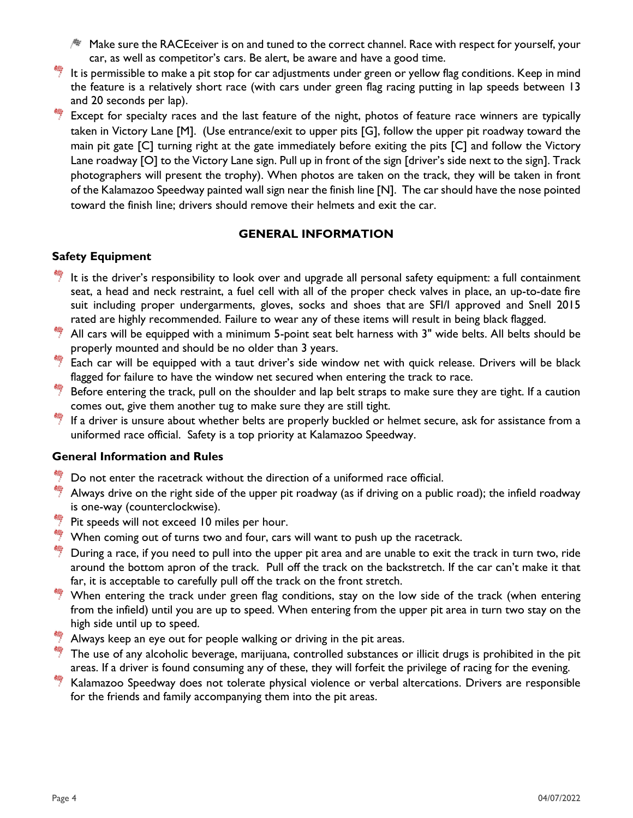- $\mathbb A$  Make sure the RACEceiver is on and tuned to the correct channel. Race with respect for yourself, your car, as well as competitor's cars. Be alert, be aware and have a good time.
- It is permissible to make a pit stop for car adjustments under green or yellow flag conditions. Keep in mind the feature is a relatively short race (with cars under green flag racing putting in lap speeds between 13 and 20 seconds per lap).
- Except for specialty races and the last feature of the night, photos of feature race winners are typically taken in Victory Lane [M]. (Use entrance/exit to upper pits [G], follow the upper pit roadway toward the main pit gate [C] turning right at the gate immediately before exiting the pits [C] and follow the Victory Lane roadway [O] to the Victory Lane sign. Pull up in front of the sign [driver's side next to the sign]. Track photographers will present the trophy). When photos are taken on the track, they will be taken in front of the Kalamazoo Speedway painted wall sign near the finish line [N]. The car should have the nose pointed toward the finish line; drivers should remove their helmets and exit the car.

# **GENERAL INFORMATION**

# **Safety Equipment**

- $\overline{P}$  It is the driver's responsibility to look over and upgrade all personal safety equipment: a full containment seat, a head and neck restraint, a fuel cell with all of the proper check valves in place, an up-to-date fire suit including proper undergarments, gloves, socks and shoes that are SFI/I approved and Snell 2015 rated are highly recommended. Failure to wear any of these items will result in being black flagged.
- All cars will be equipped with a minimum 5-point seat belt harness with 3" wide belts. All belts should be properly mounted and should be no older than 3 years.
- Each car will be equipped with a taut driver's side window net with quick release. Drivers will be black flagged for failure to have the window net secured when entering the track to race.
- Before entering the track, pull on the shoulder and lap belt straps to make sure they are tight. If a caution comes out, give them another tug to make sure they are still tight.
- If a driver is unsure about whether belts are properly buckled or helmet secure, ask for assistance from a uniformed race official. Safety is a top priority at Kalamazoo Speedway.

### **General Information and Rules**

- Do not enter the racetrack without the direction of a uniformed race official.
- Always drive on the right side of the upper pit roadway (as if driving on a public road); the infield roadway is one-way (counterclockwise).
- Pit speeds will not exceed 10 miles per hour.
- $\frac{46}{7}$  When coming out of turns two and four, cars will want to push up the racetrack.
- During a race, if you need to pull into the upper pit area and are unable to exit the track in turn two, ride around the bottom apron of the track. Pull off the track on the backstretch. If the car can't make it that far, it is acceptable to carefully pull off the track on the front stretch.
- $\frac{46}{7}$  When entering the track under green flag conditions, stay on the low side of the track (when entering from the infield) until you are up to speed. When entering from the upper pit area in turn two stay on the high side until up to speed.
- $\frac{4}{7}$  Always keep an eye out for people walking or driving in the pit areas.
- $\frac{46}{7}$  The use of any alcoholic beverage, marijuana, controlled substances or illicit drugs is prohibited in the pit areas. If a driver is found consuming any of these, they will forfeit the privilege of racing for the evening.
- Kalamazoo Speedway does not tolerate physical violence or verbal altercations. Drivers are responsible for the friends and family accompanying them into the pit areas.